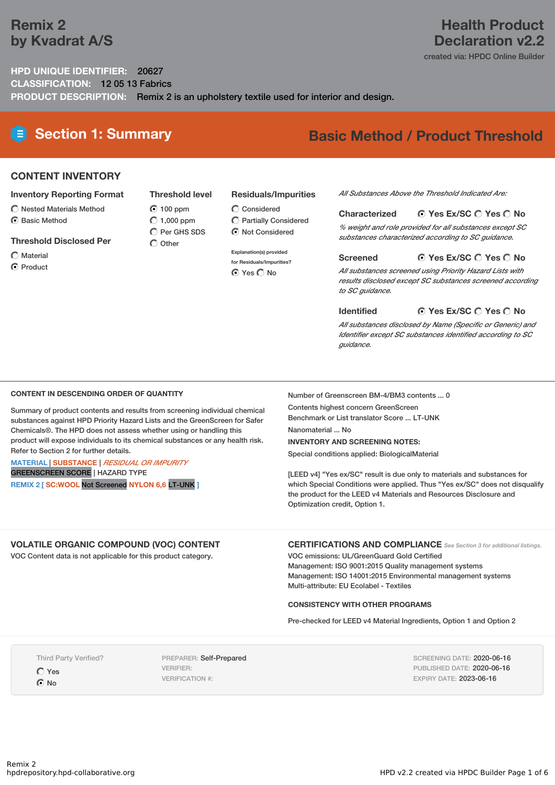## **Remix 2 by Kvadrat A/S**

## **Health Product Declaration v2.2**

created via: HPDC Online Builder

### **HPD UNIQUE IDENTIFIER:** 20627 **CLASSIFICATION:** 12 05 13 Fabrics **PRODUCT DESCRIPTION:** Remix 2 is an upholstery textile used for interior and design.

# **Section 1: Summary Basic Method / Product Threshold**

## **CONTENT INVENTORY**

#### **Inventory Reporting Format**

- $\bigcirc$  Nested Materials Method
- **⊙** Basic Method

#### **Threshold Disclosed Per**

- Material
- **⊙** Product

#### **Residuals/Impurities**

- $\bigcirc$  Considered
	- Partially Considered  $\odot$  Not Considered

#### **Explanation(s) provided**

**for Residuals/Impurities? O** Yes O No

#### *All Substances Above the Threshold Indicated Are:*

#### **Yes Ex/SC Yes No Characterized**

*% weight and role provided for all substances except SC substances characterized according to SC guidance.*

#### **Yes Ex/SC Yes No Screened**

*All substances screened using Priority Hazard Lists with results disclosed except SC substances screened according to SC guidance.*

#### **Yes Ex/SC Yes No Identified**

*All substances disclosed by Name (Specific or Generic) and Identifier except SC substances identified according to SC guidance.*

#### **CONTENT IN DESCENDING ORDER OF QUANTITY**

Summary of product contents and results from screening individual chemical substances against HPD Priority Hazard Lists and the GreenScreen for Safer Chemicals®. The HPD does not assess whether using or handling this product will expose individuals to its chemical substances or any health risk. Refer to Section 2 for further details.

#### **MATERIAL** | **SUBSTANCE** | *RESIDUAL OR IMPURITY* GREENSCREEN SCORE | HAZARD TYPE

**REMIX 2 [ SC:WOOL** Not Screened **NYLON 6,6** LT-UNK **]**

Number of Greenscreen BM-4/BM3 contents ... 0 Contents highest concern GreenScreen Benchmark or List translator Score ... LT-UNK

Nanomaterial ... No

#### **INVENTORY AND SCREENING NOTES:**

Special conditions applied: BiologicalMaterial

[LEED v4] "Yes ex/SC" result is due only to materials and substances for which Special Conditions were applied. Thus "Yes ex/SC" does not disqualify the product for the LEED v4 Materials and Resources Disclosure and Optimization credit, Option 1.

## **VOLATILE ORGANIC COMPOUND (VOC) CONTENT**

VOC Content data is not applicable for this product category.

**CERTIFICATIONS AND COMPLIANCE** *See Section <sup>3</sup> for additional listings.*

VOC emissions: UL/GreenGuard Gold Certified Management: ISO 9001:2015 Quality management systems Management: ISO 14001:2015 Environmental management systems Multi-attribute: EU Ecolabel - Textiles

#### **CONSISTENCY WITH OTHER PROGRAMS**

Pre-checked for LEED v4 Material Ingredients, Option 1 and Option 2

Third Party Verified?

Yes

 $\odot$  No

PREPARER: Self-Prepared VERIFIER: VERIFICATION #:

SCREENING DATE: 2020-06-16 PUBLISHED DATE: 2020-06-16 EXPIRY DATE: 2023-06-16

**Threshold level 100 ppm**  $O$  1,000 ppm  $\overline{O}$  Per GHS SDS  $\bigcap$  Other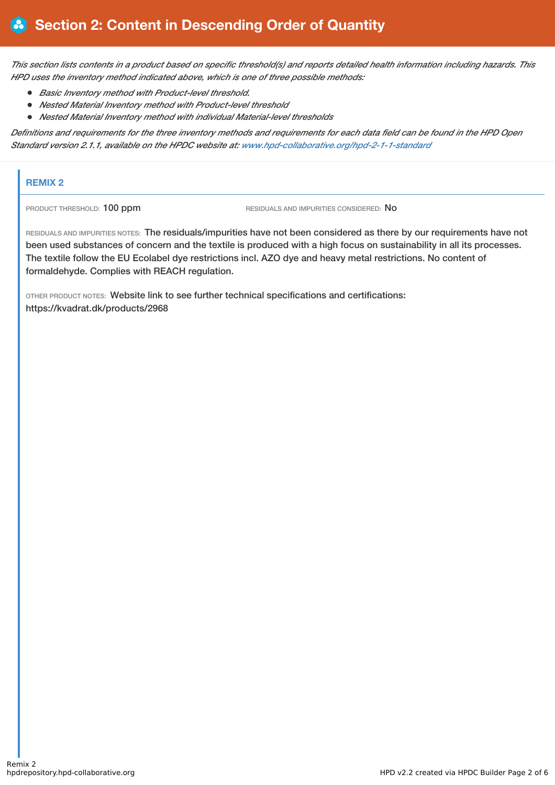This section lists contents in a product based on specific threshold(s) and reports detailed health information including hazards. This *HPD uses the inventory method indicated above, which is one of three possible methods:*

- *Basic Inventory method with Product-level threshold.*
- *Nested Material Inventory method with Product-level threshold*
- *Nested Material Inventory method with individual Material-level thresholds*

Definitions and requirements for the three inventory methods and requirements for each data field can be found in the HPD Open *Standard version 2.1.1, available on the HPDC website at: [www.hpd-collaborative.org/hpd-2-1-1-standard](https://www.hpd-collaborative.org/hpd-2-1-1-standard)*

#### **REMIX 2**

PRODUCT THRESHOLD: 100 ppm RESIDUALS AND IMPURITIES CONSIDERED: No

RESIDUALS AND IMPURITIES NOTES: The residuals/impurities have not been considered as there by our requirements have not been used substances of concern and the textile is produced with a high focus on sustainability in all its processes. The textile follow the EU Ecolabel dye restrictions incl. AZO dye and heavy metal restrictions. No content of formaldehyde. Complies with REACH regulation.

OTHER PRODUCT NOTES: Website link to see further technical specifications and certifications: https://kvadrat.dk/products/2968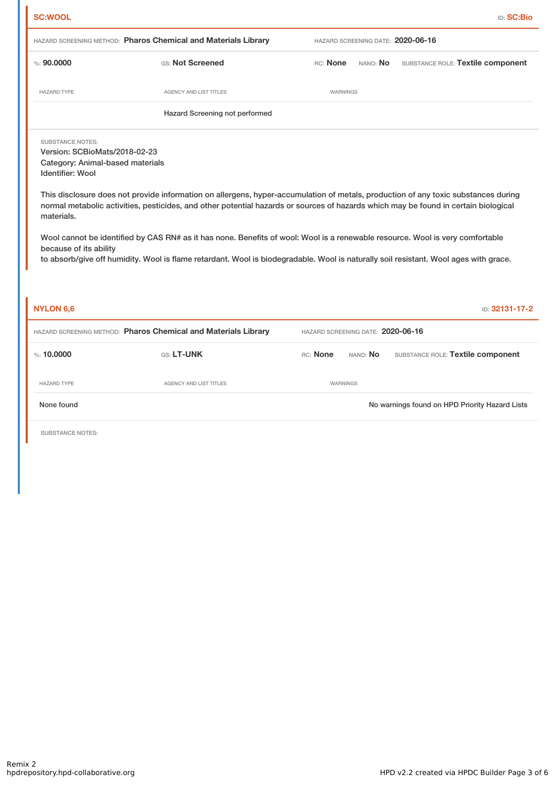|                                                                                                                                                                 |                                                                                                                                                                                                                                                                                                                                                                                                                                                                                                                                                    |                                   | <b>ID: SC:Bio</b>                              |  |  |  |  |
|-----------------------------------------------------------------------------------------------------------------------------------------------------------------|----------------------------------------------------------------------------------------------------------------------------------------------------------------------------------------------------------------------------------------------------------------------------------------------------------------------------------------------------------------------------------------------------------------------------------------------------------------------------------------------------------------------------------------------------|-----------------------------------|------------------------------------------------|--|--|--|--|
|                                                                                                                                                                 | HAZARD SCREENING METHOD: Pharos Chemical and Materials Library                                                                                                                                                                                                                                                                                                                                                                                                                                                                                     |                                   | HAZARD SCREENING DATE: 2020-06-16              |  |  |  |  |
| % : 90,0000                                                                                                                                                     | GS: Not Screened                                                                                                                                                                                                                                                                                                                                                                                                                                                                                                                                   | RC: None                          | SUBSTANCE ROLE: Textile component<br>NANO: No  |  |  |  |  |
| <b>HAZARD TYPE</b>                                                                                                                                              | AGENCY AND LIST TITLES                                                                                                                                                                                                                                                                                                                                                                                                                                                                                                                             | WARNINGS                          |                                                |  |  |  |  |
| Hazard Screening not performed                                                                                                                                  |                                                                                                                                                                                                                                                                                                                                                                                                                                                                                                                                                    |                                   |                                                |  |  |  |  |
| <b>SUBSTANCE NOTES:</b><br>Version: SCBioMats/2018-02-23<br>Category: Animal-based materials<br><b>Identifier: Wool</b><br>materials.<br>because of its ability | This disclosure does not provide information on allergens, hyper-accumulation of metals, production of any toxic substances during<br>normal metabolic activities, pesticides, and other potential hazards or sources of hazards which may be found in certain biological<br>Wool cannot be identified by CAS RN# as it has none. Benefits of wool: Wool is a renewable resource. Wool is very comfortable<br>to absorb/give off humidity. Wool is flame retardant. Wool is biodegradable. Wool is naturally soil resistant. Wool ages with grace. |                                   |                                                |  |  |  |  |
|                                                                                                                                                                 |                                                                                                                                                                                                                                                                                                                                                                                                                                                                                                                                                    |                                   |                                                |  |  |  |  |
| <b>NYLON 6,6</b>                                                                                                                                                |                                                                                                                                                                                                                                                                                                                                                                                                                                                                                                                                                    |                                   | ID: 32131-17-2                                 |  |  |  |  |
|                                                                                                                                                                 | HAZARD SCREENING METHOD: Pharos Chemical and Materials Library                                                                                                                                                                                                                                                                                                                                                                                                                                                                                     | HAZARD SCREENING DATE: 2020-06-16 |                                                |  |  |  |  |
| %: 10,0000                                                                                                                                                      | GS: LT-UNK                                                                                                                                                                                                                                                                                                                                                                                                                                                                                                                                         | RC: None<br>NANO: No              | SUBSTANCE ROLE: Textile component              |  |  |  |  |
| <b>HAZARD TYPE</b>                                                                                                                                              | AGENCY AND LIST TITLES                                                                                                                                                                                                                                                                                                                                                                                                                                                                                                                             | WARNINGS                          |                                                |  |  |  |  |
| None found                                                                                                                                                      |                                                                                                                                                                                                                                                                                                                                                                                                                                                                                                                                                    |                                   | No warnings found on HPD Priority Hazard Lists |  |  |  |  |
| SUBSTANCE NOTES:                                                                                                                                                |                                                                                                                                                                                                                                                                                                                                                                                                                                                                                                                                                    |                                   |                                                |  |  |  |  |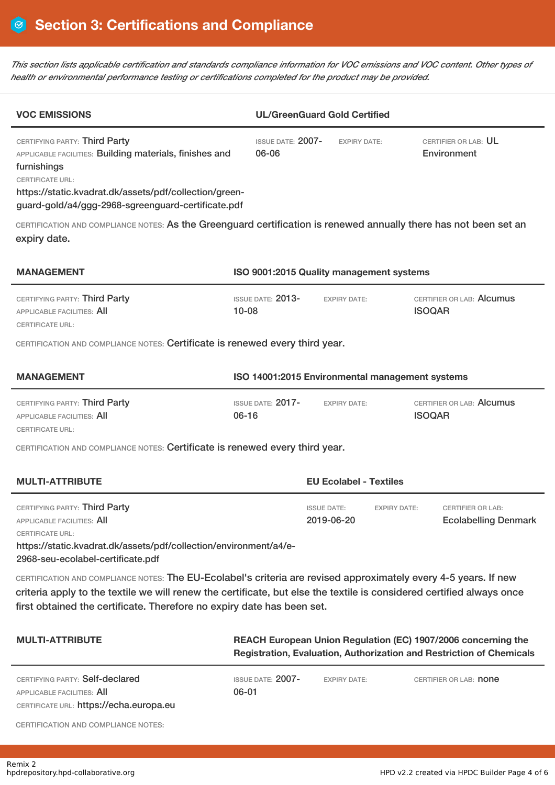This section lists applicable certification and standards compliance information for VOC emissions and VOC content. Other types of *health or environmental performance testing or certifications completed for the product may be provided.*

| <b>VOC EMISSIONS</b>                                                                                                                                                                                                                                                                                                |                                                                                                                                       | <b>UL/GreenGuard Gold Certified</b>      |                     |                                                         |  |  |
|---------------------------------------------------------------------------------------------------------------------------------------------------------------------------------------------------------------------------------------------------------------------------------------------------------------------|---------------------------------------------------------------------------------------------------------------------------------------|------------------------------------------|---------------------|---------------------------------------------------------|--|--|
| CERTIFYING PARTY: Third Party<br>APPLICABLE FACILITIES: Building materials, finishes and<br>furnishings<br><b>CERTIFICATE URL:</b><br>https://static.kvadrat.dk/assets/pdf/collection/green-<br>guard-gold/a4/ggg-2968-sgreenguard-certificate.pdf                                                                  | <b>ISSUE DATE: 2007-</b><br>06-06                                                                                                     | <b>EXPIRY DATE:</b>                      |                     | CERTIFIER OR LAB: UL<br>Environment                     |  |  |
| CERTIFICATION AND COMPLIANCE NOTES: As the Greenguard certification is renewed annually there has not been set an<br>expiry date.                                                                                                                                                                                   |                                                                                                                                       |                                          |                     |                                                         |  |  |
| <b>MANAGEMENT</b>                                                                                                                                                                                                                                                                                                   |                                                                                                                                       | ISO 9001:2015 Quality management systems |                     |                                                         |  |  |
| CERTIFYING PARTY: Third Party<br><b>APPLICABLE FACILITIES: All</b><br><b>CERTIFICATE URL:</b>                                                                                                                                                                                                                       | $ISSUF$ DATE: $2013-$<br>$10 - 08$                                                                                                    | <b>EXPIRY DATE:</b>                      |                     | CERTIFIER OR LAB: Alcumus<br><b>ISOQAR</b>              |  |  |
| CERTIFICATION AND COMPLIANCE NOTES: Certificate is renewed every third year.                                                                                                                                                                                                                                        |                                                                                                                                       |                                          |                     |                                                         |  |  |
| <b>MANAGEMENT</b>                                                                                                                                                                                                                                                                                                   | ISO 14001:2015 Environmental management systems                                                                                       |                                          |                     |                                                         |  |  |
| CERTIFYING PARTY: Third Party<br>APPLICABLE FACILITIES: All<br>CERTIFICATE URL:                                                                                                                                                                                                                                     | <b>ISSUE DATE: 2017-</b><br>$06 - 16$                                                                                                 | <b>EXPIRY DATE:</b>                      |                     | CERTIFIER OR LAB: Alcumus<br><b>ISOQAR</b>              |  |  |
| CERTIFICATION AND COMPLIANCE NOTES: Certificate is renewed every third year.                                                                                                                                                                                                                                        |                                                                                                                                       |                                          |                     |                                                         |  |  |
| <b>MULTI-ATTRIBUTE</b><br><b>EU Ecolabel - Textiles</b>                                                                                                                                                                                                                                                             |                                                                                                                                       |                                          |                     |                                                         |  |  |
| CERTIFYING PARTY: Third Party<br><b>APPLICABLE FACILITIES: All</b><br>CERTIFICATE URL:<br>https://static.kvadrat.dk/assets/pdf/collection/environment/a4/e-<br>2968-seu-ecolabel-certificate.pdf                                                                                                                    |                                                                                                                                       | <b>ISSUE DATE:</b><br>2019-06-20         | <b>EXPIRY DATE:</b> | <b>CERTIFIER OR LAB:</b><br><b>Ecolabelling Denmark</b> |  |  |
| CERTIFICATION AND COMPLIANCE NOTES: The EU-Ecolabel's criteria are revised approximately every 4-5 years. If new<br>criteria apply to the textile we will renew the certificate, but else the textile is considered certified always once<br>first obtained the certificate. Therefore no expiry date has been set. |                                                                                                                                       |                                          |                     |                                                         |  |  |
| <b>MULTI-ATTRIBUTE</b>                                                                                                                                                                                                                                                                                              | REACH European Union Regulation (EC) 1907/2006 concerning the<br>Registration, Evaluation, Authorization and Restriction of Chemicals |                                          |                     |                                                         |  |  |
| CERTIFYING PARTY: Self-declared<br>APPLICABLE FACILITIES: All                                                                                                                                                                                                                                                       | ISSUE DATE: 2007-<br>06-01                                                                                                            | <b>EXPIRY DATE:</b>                      |                     | CERTIFIER OR LAB: <b>NONE</b>                           |  |  |

CERTIFICATE URL: https://echa.europa.eu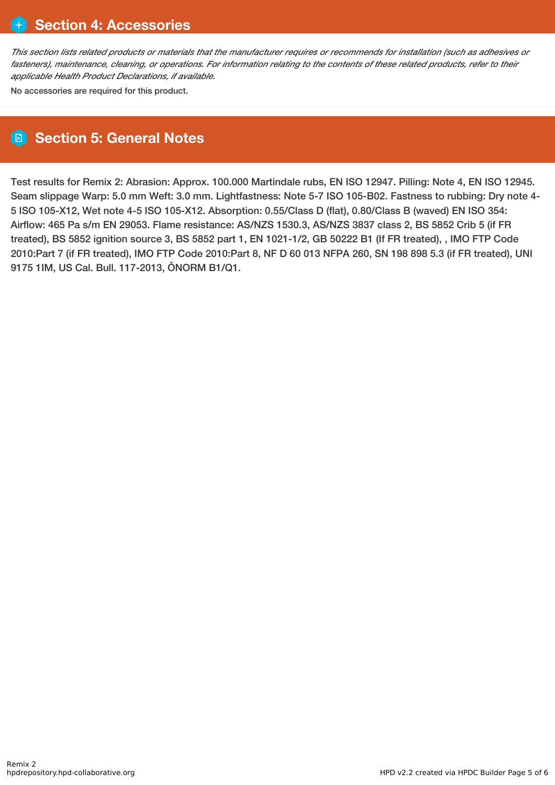This section lists related products or materials that the manufacturer requires or recommends for installation (such as adhesives or fasteners), maintenance, cleaning, or operations. For information relating to the contents of these related products, refer to their *applicable Health Product Declarations, if available.*

No accessories are required for this product.

## **Section 5: General Notes**

Test results for Remix 2: Abrasion: Approx. 100.000 Martindale rubs, EN ISO 12947. Pilling: Note 4, EN ISO 12945. Seam slippage Warp: 5.0 mm Weft: 3.0 mm. Lightfastness: Note 5-7 ISO 105-B02. Fastness to rubbing: Dry note 4- 5 ISO 105-X12, Wet note 4-5 ISO 105-X12. Absorption: 0.55/Class D (flat), 0.80/Class B (waved) EN ISO 354: Airflow: 465 Pa s/m EN 29053. Flame resistance: AS/NZS 1530.3, AS/NZS 3837 class 2, BS 5852 Crib 5 (if FR treated), BS 5852 ignition source 3, BS 5852 part 1, EN 1021-1/2, GB 50222 B1 (If FR treated), , IMO FTP Code 2010:Part 7 (if FR treated), IMO FTP Code 2010:Part 8, NF D 60 013 NFPA 260, SN 198 898 5.3 (if FR treated), UNI 9175 1IM, US Cal. Bull. 117-2013, ÔNORM B1/Q1.